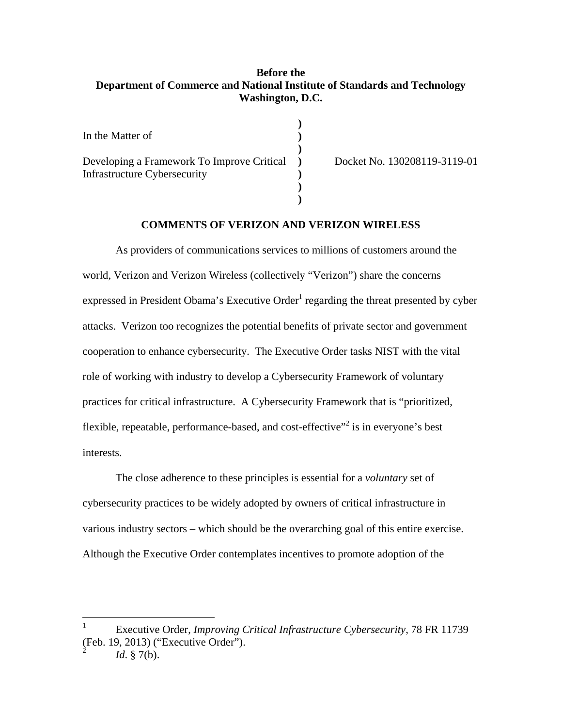# **Before the Department of Commerce and National Institute of Standards and Technology Washington, D.C.**

| In the Matter of                                                                  |  |
|-----------------------------------------------------------------------------------|--|
| Developing a Framework To Improve Critical<br><b>Infrastructure Cybersecurity</b> |  |

Docket No. 130208119-3119-01

## **COMMENTS OF VERIZON AND VERIZON WIRELESS**

**)** 

As providers of communications services to millions of customers around the world, Verizon and Verizon Wireless (collectively "Verizon") share the concerns expressed in President Obama's Executive Order<sup>1</sup> regarding the threat presented by cyber attacks. Verizon too recognizes the potential benefits of private sector and government cooperation to enhance cybersecurity. The Executive Order tasks NIST with the vital role of working with industry to develop a Cybersecurity Framework of voluntary practices for critical infrastructure. A Cybersecurity Framework that is "prioritized, flexible, repeatable, performance-based, and cost-effective $\frac{1}{2}$  is in everyone's best interests.

The close adherence to these principles is essential for a *voluntary* set of cybersecurity practices to be widely adopted by owners of critical infrastructure in various industry sectors – which should be the overarching goal of this entire exercise. Although the Executive Order contemplates incentives to promote adoption of the

<sup>1</sup> Executive Order, *Improving Critical Infrastructure Cybersecurity*, 78 FR 11739 (Feb. 19, 2013) ("Executive Order").

<sup>2</sup>*Id*. § 7(b).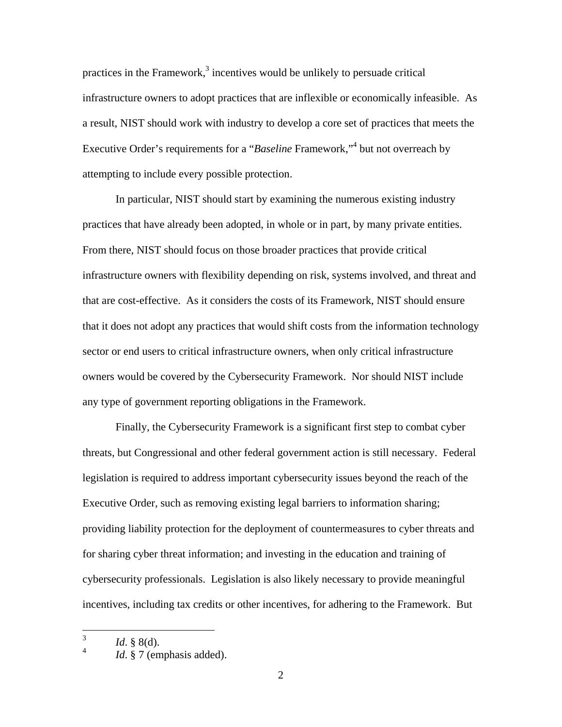practices in the Framework, $3$  incentives would be unlikely to persuade critical infrastructure owners to adopt practices that are inflexible or economically infeasible. As a result, NIST should work with industry to develop a core set of practices that meets the Executive Order's requirements for a "*Baseline* Framework,"<sup>4</sup> but not overreach by attempting to include every possible protection.

In particular, NIST should start by examining the numerous existing industry practices that have already been adopted, in whole or in part, by many private entities. From there, NIST should focus on those broader practices that provide critical infrastructure owners with flexibility depending on risk, systems involved, and threat and that are cost-effective. As it considers the costs of its Framework, NIST should ensure that it does not adopt any practices that would shift costs from the information technology sector or end users to critical infrastructure owners, when only critical infrastructure owners would be covered by the Cybersecurity Framework. Nor should NIST include any type of government reporting obligations in the Framework.

Finally, the Cybersecurity Framework is a significant first step to combat cyber threats, but Congressional and other federal government action is still necessary. Federal legislation is required to address important cybersecurity issues beyond the reach of the Executive Order, such as removing existing legal barriers to information sharing; providing liability protection for the deployment of countermeasures to cyber threats and for sharing cyber threat information; and investing in the education and training of cybersecurity professionals. Legislation is also likely necessary to provide meaningful incentives, including tax credits or other incentives, for adhering to the Framework. But

<sup>3</sup>*Id*. § 8(d).

 $\overline{4}$ Id. § 7 (emphasis added).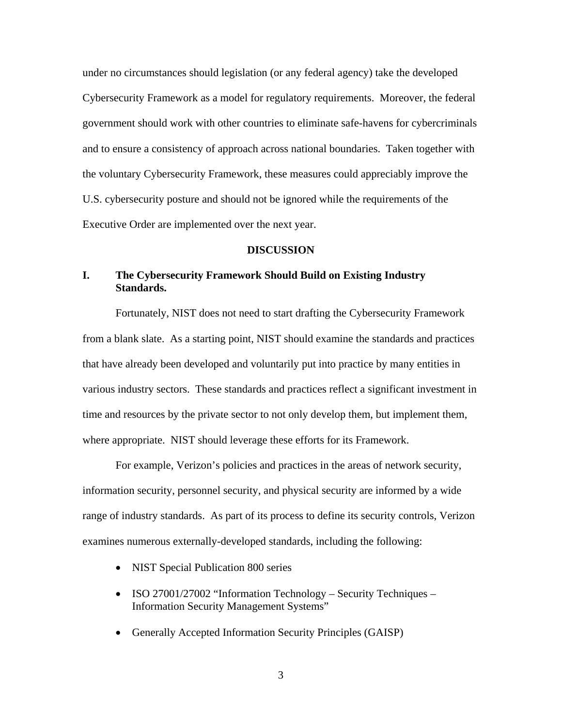under no circumstances should legislation (or any federal agency) take the developed Cybersecurity Framework as a model for regulatory requirements. Moreover, the federal government should work with other countries to eliminate safe-havens for cybercriminals and to ensure a consistency of approach across national boundaries. Taken together with the voluntary Cybersecurity Framework, these measures could appreciably improve the U.S. cybersecurity posture and should not be ignored while the requirements of the Executive Order are implemented over the next year.

#### **DISCUSSION**

# **I. The Cybersecurity Framework Should Build on Existing Industry Standards.**

Fortunately, NIST does not need to start drafting the Cybersecurity Framework from a blank slate. As a starting point, NIST should examine the standards and practices that have already been developed and voluntarily put into practice by many entities in various industry sectors. These standards and practices reflect a significant investment in time and resources by the private sector to not only develop them, but implement them, where appropriate. NIST should leverage these efforts for its Framework.

For example, Verizon's policies and practices in the areas of network security, information security, personnel security, and physical security are informed by a wide range of industry standards. As part of its process to define its security controls, Verizon examines numerous externally-developed standards, including the following:

- NIST Special Publication 800 series
- ISO 27001/27002 "Information Technology Security Techniques Information Security Management Systems"
- Generally Accepted Information Security Principles (GAISP)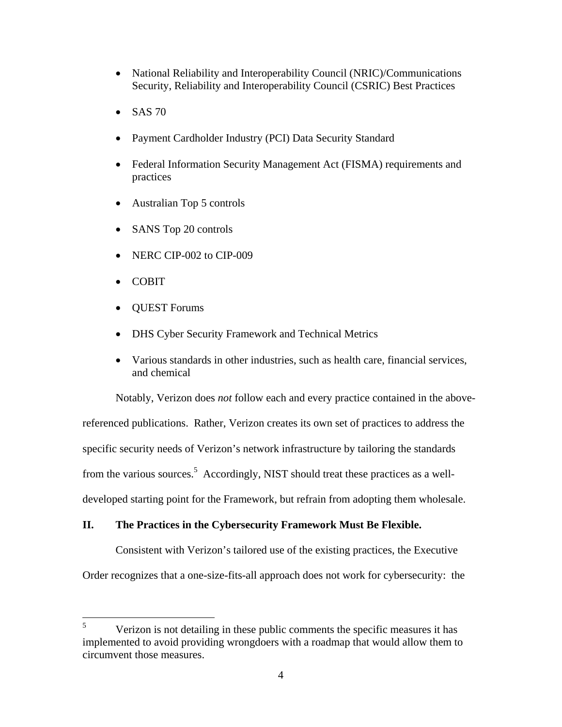- National Reliability and Interoperability Council (NRIC)/Communications Security, Reliability and Interoperability Council (CSRIC) Best Practices
- $\bullet$  SAS 70
- Payment Cardholder Industry (PCI) Data Security Standard
- Federal Information Security Management Act (FISMA) requirements and practices
- Australian Top 5 controls
- SANS Top 20 controls
- NERC CIP-002 to CIP-009
- COBIT

 $\overline{a}$ 

- QUEST Forums
- DHS Cyber Security Framework and Technical Metrics
- Various standards in other industries, such as health care, financial services, and chemical

Notably, Verizon does *not* follow each and every practice contained in the above-

referenced publications. Rather, Verizon creates its own set of practices to address the specific security needs of Verizon's network infrastructure by tailoring the standards from the various sources.<sup>5</sup> Accordingly, NIST should treat these practices as a welldeveloped starting point for the Framework, but refrain from adopting them wholesale.

## **II. The Practices in the Cybersecurity Framework Must Be Flexible.**

Consistent with Verizon's tailored use of the existing practices, the Executive Order recognizes that a one-size-fits-all approach does not work for cybersecurity: the

 5 Verizon is not detailing in these public comments the specific measures it has implemented to avoid providing wrongdoers with a roadmap that would allow them to circumvent those measures.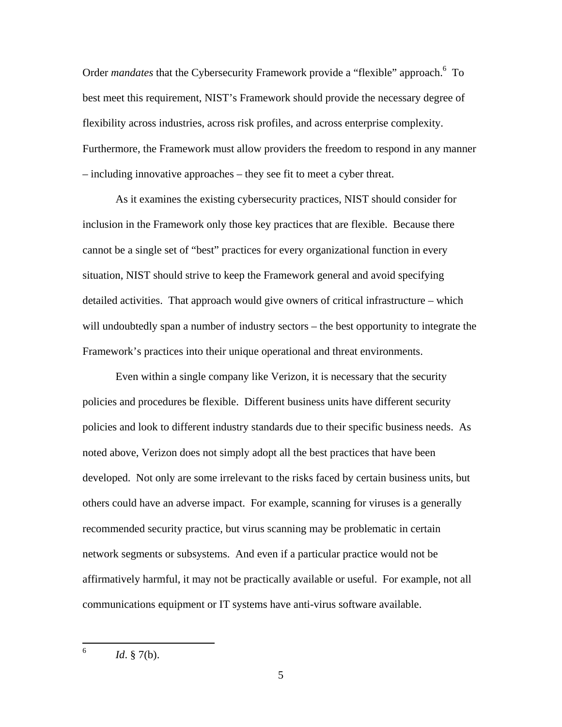Order *mandates* that the Cybersecurity Framework provide a "flexible" approach.<sup>6</sup> To best meet this requirement, NIST's Framework should provide the necessary degree of flexibility across industries, across risk profiles, and across enterprise complexity. Furthermore, the Framework must allow providers the freedom to respond in any manner – including innovative approaches – they see fit to meet a cyber threat.

As it examines the existing cybersecurity practices, NIST should consider for inclusion in the Framework only those key practices that are flexible. Because there cannot be a single set of "best" practices for every organizational function in every situation, NIST should strive to keep the Framework general and avoid specifying detailed activities. That approach would give owners of critical infrastructure – which will undoubtedly span a number of industry sectors – the best opportunity to integrate the Framework's practices into their unique operational and threat environments.

Even within a single company like Verizon, it is necessary that the security policies and procedures be flexible. Different business units have different security policies and look to different industry standards due to their specific business needs. As noted above, Verizon does not simply adopt all the best practices that have been developed. Not only are some irrelevant to the risks faced by certain business units, but others could have an adverse impact. For example, scanning for viruses is a generally recommended security practice, but virus scanning may be problematic in certain network segments or subsystems. And even if a particular practice would not be affirmatively harmful, it may not be practically available or useful. For example, not all communications equipment or IT systems have anti-virus software available.

 6 *Id*. § 7(b).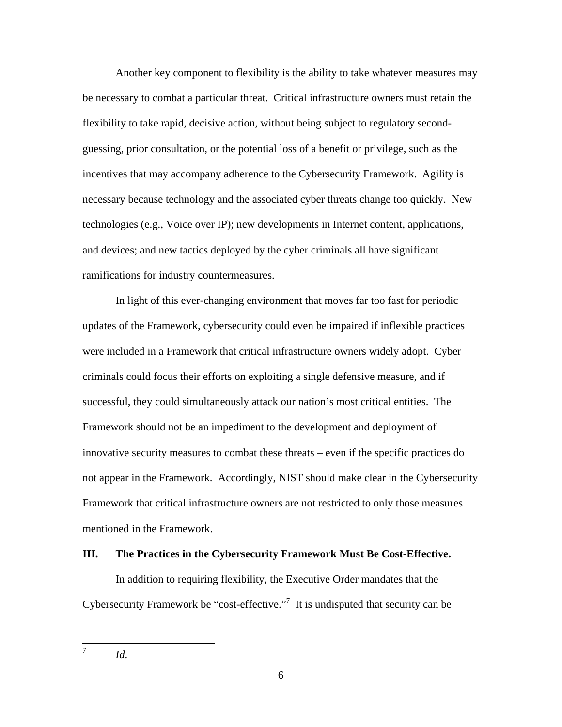Another key component to flexibility is the ability to take whatever measures may be necessary to combat a particular threat. Critical infrastructure owners must retain the flexibility to take rapid, decisive action, without being subject to regulatory secondguessing, prior consultation, or the potential loss of a benefit or privilege, such as the incentives that may accompany adherence to the Cybersecurity Framework. Agility is necessary because technology and the associated cyber threats change too quickly. New technologies (e.g., Voice over IP); new developments in Internet content, applications, and devices; and new tactics deployed by the cyber criminals all have significant ramifications for industry countermeasures.

In light of this ever-changing environment that moves far too fast for periodic updates of the Framework, cybersecurity could even be impaired if inflexible practices were included in a Framework that critical infrastructure owners widely adopt. Cyber criminals could focus their efforts on exploiting a single defensive measure, and if successful, they could simultaneously attack our nation's most critical entities. The Framework should not be an impediment to the development and deployment of innovative security measures to combat these threats – even if the specific practices do not appear in the Framework. Accordingly, NIST should make clear in the Cybersecurity Framework that critical infrastructure owners are not restricted to only those measures mentioned in the Framework.

### **III. The Practices in the Cybersecurity Framework Must Be Cost-Effective.**

In addition to requiring flexibility, the Executive Order mandates that the Cybersecurity Framework be "cost-effective."<sup>7</sup> It is undisputed that security can be

<sup>7</sup>*Id*.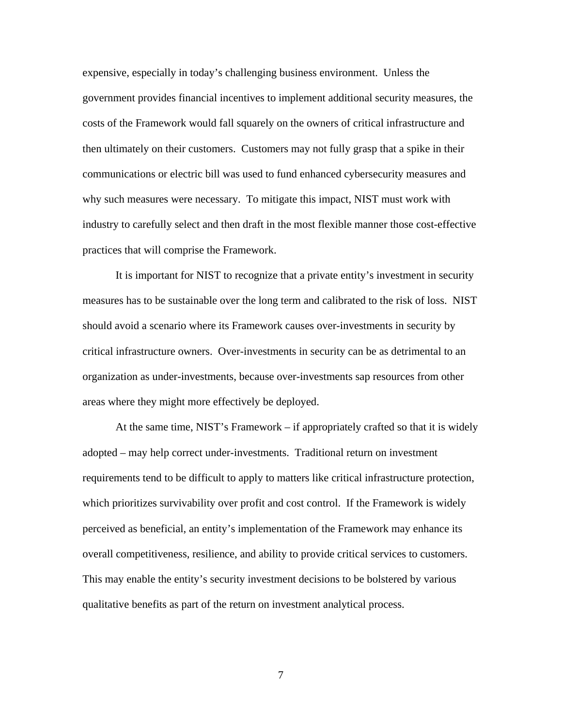expensive, especially in today's challenging business environment. Unless the government provides financial incentives to implement additional security measures, the costs of the Framework would fall squarely on the owners of critical infrastructure and then ultimately on their customers. Customers may not fully grasp that a spike in their communications or electric bill was used to fund enhanced cybersecurity measures and why such measures were necessary. To mitigate this impact, NIST must work with industry to carefully select and then draft in the most flexible manner those cost-effective practices that will comprise the Framework.

It is important for NIST to recognize that a private entity's investment in security measures has to be sustainable over the long term and calibrated to the risk of loss. NIST should avoid a scenario where its Framework causes over-investments in security by critical infrastructure owners. Over-investments in security can be as detrimental to an organization as under-investments, because over-investments sap resources from other areas where they might more effectively be deployed.

 overall competitiveness, resilience, and ability to provide critical services to customers. This may enable the entity's security investment decisions to be bolstered by various At the same time, NIST's Framework – if appropriately crafted so that it is widely adopted – may help correct under-investments. Traditional return on investment requirements tend to be difficult to apply to matters like critical infrastructure protection, which prioritizes survivability over profit and cost control. If the Framework is widely perceived as beneficial, an entity's implementation of the Framework may enhance its qualitative benefits as part of the return on investment analytical process.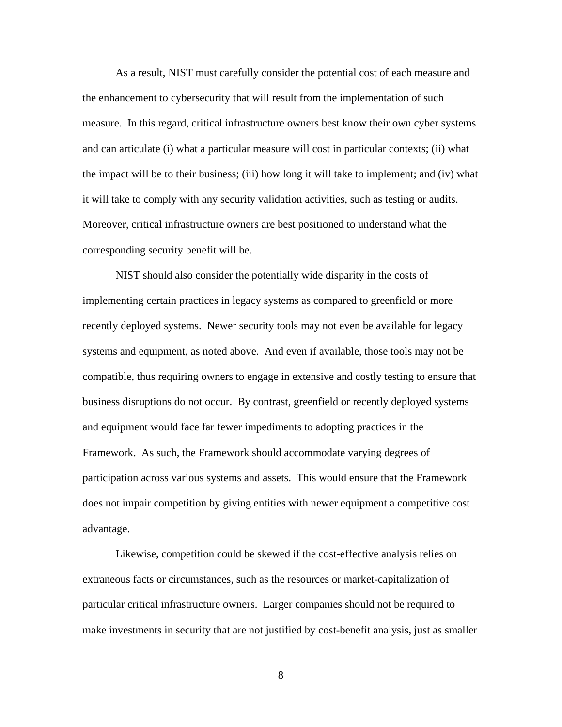As a result, NIST must carefully consider the potential cost of each measure and the enhancement to cybersecurity that will result from the implementation of such measure. In this regard, critical infrastructure owners best know their own cyber systems and can articulate (i) what a particular measure will cost in particular contexts; (ii) what the impact will be to their business; (iii) how long it will take to implement; and (iv) what it will take to comply with any security validation activities, such as testing or audits. Moreover, critical infrastructure owners are best positioned to understand what the corresponding security benefit will be.

NIST should also consider the potentially wide disparity in the costs of implementing certain practices in legacy systems as compared to greenfield or more recently deployed systems. Newer security tools may not even be available for legacy systems and equipment, as noted above. And even if available, those tools may not be compatible, thus requiring owners to engage in extensive and costly testing to ensure that business disruptions do not occur. By contrast, greenfield or recently deployed systems and equipment would face far fewer impediments to adopting practices in the Framework. As such, the Framework should accommodate varying degrees of participation across various systems and assets. This would ensure that the Framework does not impair competition by giving entities with newer equipment a competitive cost advantage.

Likewise, competition could be skewed if the cost-effective analysis relies on extraneous facts or circumstances, such as the resources or market-capitalization of particular critical infrastructure owners. Larger companies should not be required to make investments in security that are not justified by cost-benefit analysis, just as smaller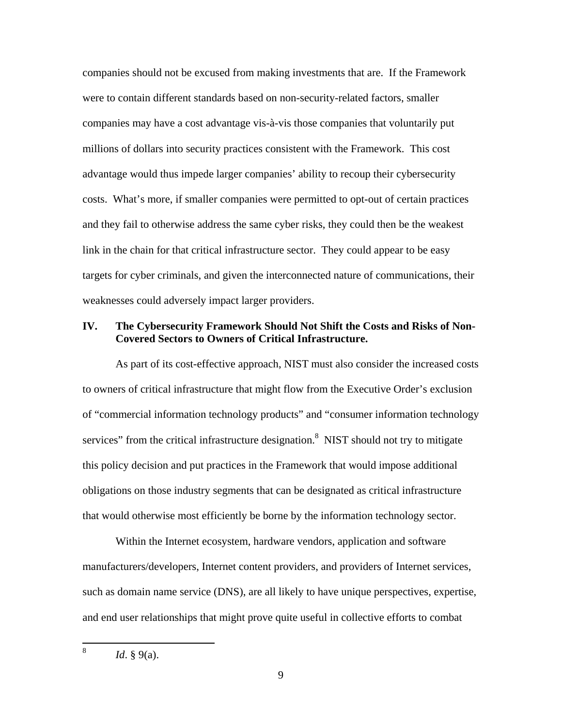companies should not be excused from making investments that are. If the Framework were to contain different standards based on non-security-related factors, smaller companies may have a cost advantage vis-à-vis those companies that voluntarily put millions of dollars into security practices consistent with the Framework. This cost advantage would thus impede larger companies' ability to recoup their cybersecurity costs. What's more, if smaller companies were permitted to opt-out of certain practices and they fail to otherwise address the same cyber risks, they could then be the weakest link in the chain for that critical infrastructure sector. They could appear to be easy targets for cyber criminals, and given the interconnected nature of communications, their weaknesses could adversely impact larger providers.

### **IV. The Cybersecurity Framework Should Not Shift the Costs and Risks of Non-Covered Sectors to Owners of Critical Infrastructure.**

As part of its cost-effective approach, NIST must also consider the increased costs to owners of critical infrastructure that might flow from the Executive Order's exclusion of "commercial information technology products" and "consumer information technology services" from the critical infrastructure designation.<sup>8</sup> NIST should not try to mitigate this policy decision and put practices in the Framework that would impose additional obligations on those industry segments that can be designated as critical infrastructure that would otherwise most efficiently be borne by the information technology sector.

Within the Internet ecosystem, hardware vendors, application and software manufacturers/developers, Internet content providers, and providers of Internet services, such as domain name service (DNS), are all likely to have unique perspectives, expertise, and end user relationships that might prove quite useful in collective efforts to combat

 8 *Id*. § 9(a).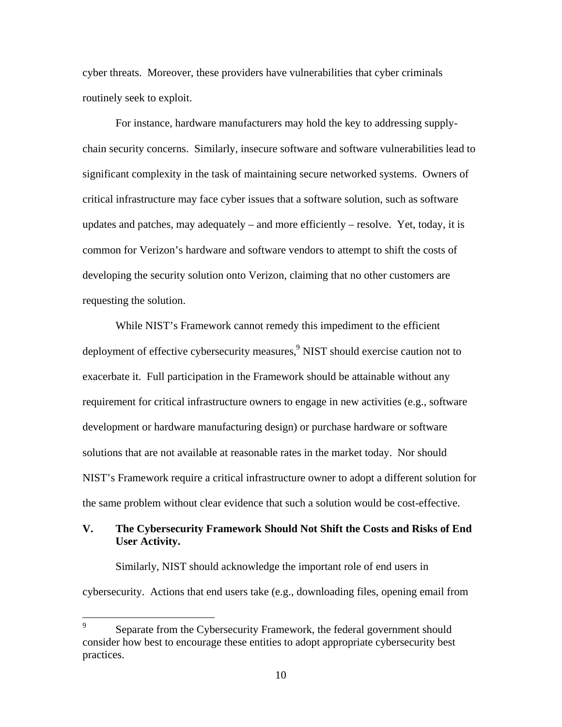cyber threats. Moreover, these providers have vulnerabilities that cyber criminals routinely seek to exploit.

For instance, hardware manufacturers may hold the key to addressing supplychain security concerns. Similarly, insecure software and software vulnerabilities lead to significant complexity in the task of maintaining secure networked systems. Owners of critical infrastructure may face cyber issues that a software solution, such as software updates and patches, may adequately – and more efficiently – resolve. Yet, today, it is common for Verizon's hardware and software vendors to attempt to shift the costs of developing the security solution onto Verizon, claiming that no other customers are requesting the solution.

While NIST's Framework cannot remedy this impediment to the efficient deployment of effective cybersecurity measures,<sup>9</sup> NIST should exercise caution not to exacerbate it. Full participation in the Framework should be attainable without any requirement for critical infrastructure owners to engage in new activities (e.g., software development or hardware manufacturing design) or purchase hardware or software solutions that are not available at reasonable rates in the market today. Nor should NIST's Framework require a critical infrastructure owner to adopt a different solution for the same problem without clear evidence that such a solution would be cost-effective.

# **V. The Cybersecurity Framework Should Not Shift the Costs and Risks of End User Activity.**

Similarly, NIST should acknowledge the important role of end users in cybersecurity. Actions that end users take (e.g., downloading files, opening email from

 9 Separate from the Cybersecurity Framework, the federal government should consider how best to encourage these entities to adopt appropriate cybersecurity best practices.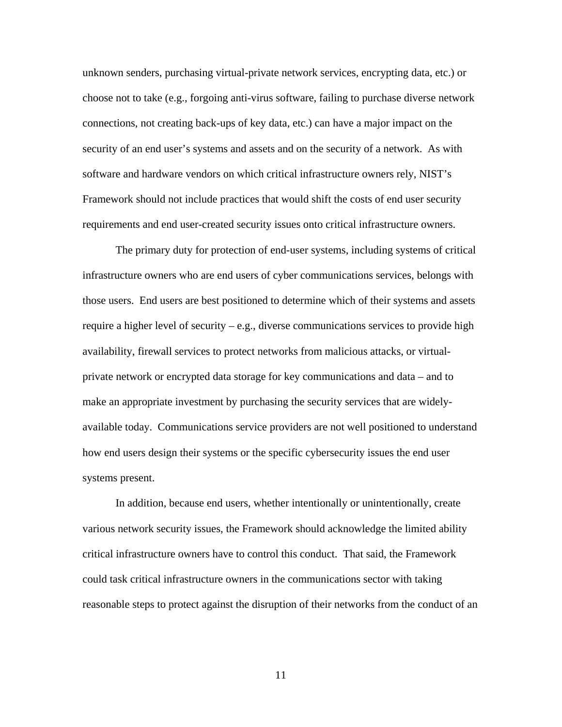unknown senders, purchasing virtual-private network services, encrypting data, etc.) or choose not to take (e.g., forgoing anti-virus software, failing to purchase diverse network connections, not creating back-ups of key data, etc.) can have a major impact on the security of an end user's systems and assets and on the security of a network. As with software and hardware vendors on which critical infrastructure owners rely, NIST's Framework should not include practices that would shift the costs of end user security requirements and end user-created security issues onto critical infrastructure owners.

The primary duty for protection of end-user systems, including systems of critical infrastructure owners who are end users of cyber communications services, belongs with those users. End users are best positioned to determine which of their systems and assets require a higher level of security – e.g., diverse communications services to provide high availability, firewall services to protect networks from malicious attacks, or virtualprivate network or encrypted data storage for key communications and data – and to make an appropriate investment by purchasing the security services that are widelyavailable today. Communications service providers are not well positioned to understand how end users design their systems or the specific cybersecurity issues the end user systems present.

In addition, because end users, whether intentionally or unintentionally, create various network security issues, the Framework should acknowledge the limited ability critical infrastructure owners have to control this conduct. That said, the Framework could task critical infrastructure owners in the communications sector with taking reasonable steps to protect against the disruption of their networks from the conduct of an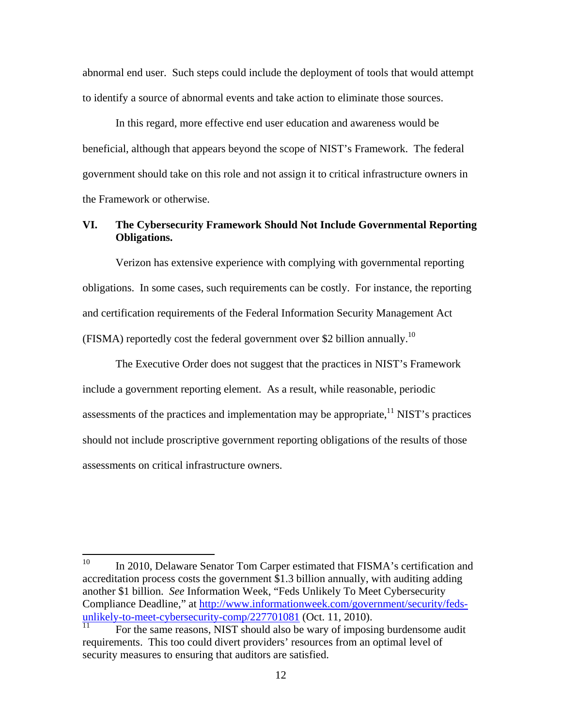abnormal end user. Such steps could include the deployment of tools that would attempt to identify a source of abnormal events and take action to eliminate those sources.

In this regard, more effective end user education and awareness would be beneficial, although that appears beyond the scope of NIST's Framework. The federal government should take on this role and not assign it to critical infrastructure owners in the Framework or otherwise.

## **VI. The Cybersecurity Framework Should Not Include Governmental Reporting Obligations.**

Verizon has extensive experience with complying with governmental reporting obligations. In some cases, such requirements can be costly. For instance, the reporting and certification requirements of the Federal Information Security Management Act (FISMA) reportedly cost the federal government over \$2 billion annually.10

The Executive Order does not suggest that the practices in NIST's Framework include a government reporting element. As a result, while reasonable, periodic assessments of the practices and implementation may be appropriate,  $^{11}$  NIST's practices should not include proscriptive government reporting obligations of the results of those assessments on critical infrastructure owners.

<sup>10</sup> In 2010, Delaware Senator Tom Carper estimated that FISMA's certification and accreditation process costs the government \$1.3 billion annually, with auditing adding another \$1 billion. *See* Information Week, "Feds Unlikely To Meet Cybersecurity Compliance Deadline," at http://www.informationweek.com/government/security/fedsunlikely-to-meet-cybersecurity-comp/227701081 (Oct. 11, 2010).

For the same reasons, NIST should also be wary of imposing burdensome audit requirements. This too could divert providers' resources from an optimal level of security measures to ensuring that auditors are satisfied.